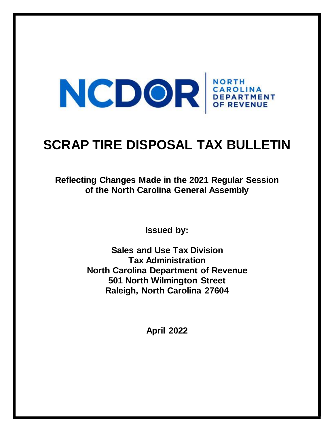# NCDOR SEPARTMENT

## **SCRAP TIRE DISPOSAL TAX BULLETIN**

**Reflecting Changes Made in the 2021 Regular Session of the North Carolina General Assembly**

**Issued by:**

**Sales and Use Tax Division Tax Administration North Carolina Department of Revenue 501 North Wilmington Street Raleigh, North Carolina 27604**

**April 2022**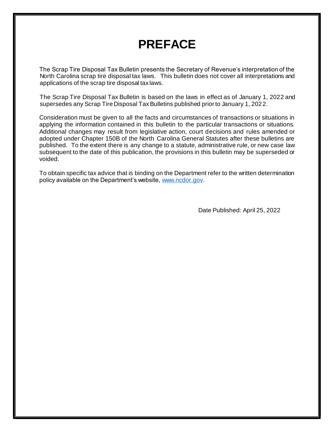### **PREFACE**

The Scrap Tire Disposal Tax Bulletin presents the Secretary of Revenue's interpretation of the North Carolina scrap tire disposal tax laws. This bulletin does not cover all interpretations and applications of the scrap tire disposal tax laws.

The Scrap Tire Disposal Tax Bulletin is based on the laws in effect as of January 1, 2022 and supersedes any Scrap Tire Disposal Tax Bulletins published prior to January 1, 2022.

Consideration must be given to all the facts and circumstances of transactions or situations in applying the information contained in this bulletin to the particular transactions or situations. Additional changes may result from legislative action, court decisions and rules amended or adopted under Chapter 150B of the North Carolina General Statutes after these bulletins are published. To the extent there is any change to a statute, administrative rule, or new case law subsequent to the date of this publication, the provisions in this bulletin may be superseded or voided.

To obtain specific tax advice that is binding on the Department refer to the written determination policy available on the Department's website[, www.ncdor.gov.](https://www.ncdor.gov/)

Date Published: April 25, 2022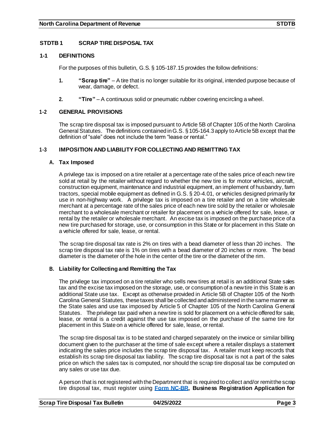#### **STDTB 1 SCRAP TIRE DISPOSAL TAX**

#### **1-1 DEFINITIONS**

For the purposes of this bulletin, G.S. § 105-187.15 provides the follow definitions:

- **1. "Scrap tire"** A tire that is no longer suitable for its original, intended purpose because of wear, damage, or defect.
- **2. "Tire"**  A continuous solid or pneumatic rubber covering encircling a wheel.

#### **1-2 GENERAL PROVISIONS**

The scrap tire disposal tax is imposed pursuant to Article 5B of Chapter 105 of the North Carolina General Statutes. The definitions contained inG.S. §105-164.3 apply toArticle 5B except that the definition of "sale" does not include the term "lease or rental."

#### **1-3 IMPOSITION AND LIABILITY FOR COLLECTING AND REMITTING TAX**

#### **A. Tax Imposed**

A privilege tax is imposed on a tire retailer at a percentage rate of the sales price of each new tire sold at retail by the retailer without regard to whether the new tire is for motor vehicles, aircraft, construction equipment, maintenance and industrial equipment, an implement of husbandry, farm tractors, special mobile equipment as defined in G.S. § 20-4.01, or vehicles designed primarily for use in non-highway work. A privilege tax is imposed on a tire retailer and on a tire wholesale merchant at a percentage rate of the sales price of each new tire sold by the retailer or wholesale merchant to a wholesale merchant or retailer for placement on a vehicle offered for sale, lease, or rental by the retailer or wholesale merchant. An excise tax is imposed on the purchase price of a new tire purchased for storage, use, or consumption in this State or for placement in this State on a vehicle offered for sale, lease, or rental.

The scrap tire disposal tax rate is 2% on tires with a bead diameter of less than 20 inches. The scrap tire disposal tax rate is 1% on tires with a bead diameter of 20 inches or more. The bead diameter is the diameter of the hole in the center of the tire or the diameter of the rim.

#### **B. Liability for Collecting and Remitting the Tax**

The privilege tax imposed on a tire retailer who sells new tires at retail is an additional State sales tax and the excise tax imposed on the storage, use, or consumption of a newtire in this State is an additional State use tax. Except as otherwise provided in Article 5B of Chapter 105 of the North Carolina General Statutes, these taxes shall be collected andadministered inthe same manner as the State sales and use tax imposed by Article 5 of Chapter 105 of the North Carolina General Statutes. The privilege tax paid when a newtire is sold for placement on a vehicle offered for sale, lease, or rental is a credit against the use tax imposed on the purchase of the same tire for placement in this State on a vehicle offered for sale, lease, orrental.

The scrap tire disposal tax is to be stated and charged separately on the invoice or similar billing document given to the purchaser at the time of sale except where a retailer displays a statement indicating the sales price includes the scrap tire disposal tax. A retailer must keep records that establish its scrap tire disposal tax liability. The scrap tire disposal tax is not a part of the sales price on which the sales tax is computed, nor should the scrap tire disposal tax be computed on any sales or use tax due.

A person that is not registered with the Department that is required to collect and/or remit the scrap tire disposal tax, must register using **Form [NC-BR,](https://www.ncdor.gov/documents/form-nc-br-business-registration-application-income-tax-withholding-sales-and-use-tax-and-other) Business Registration Application for**